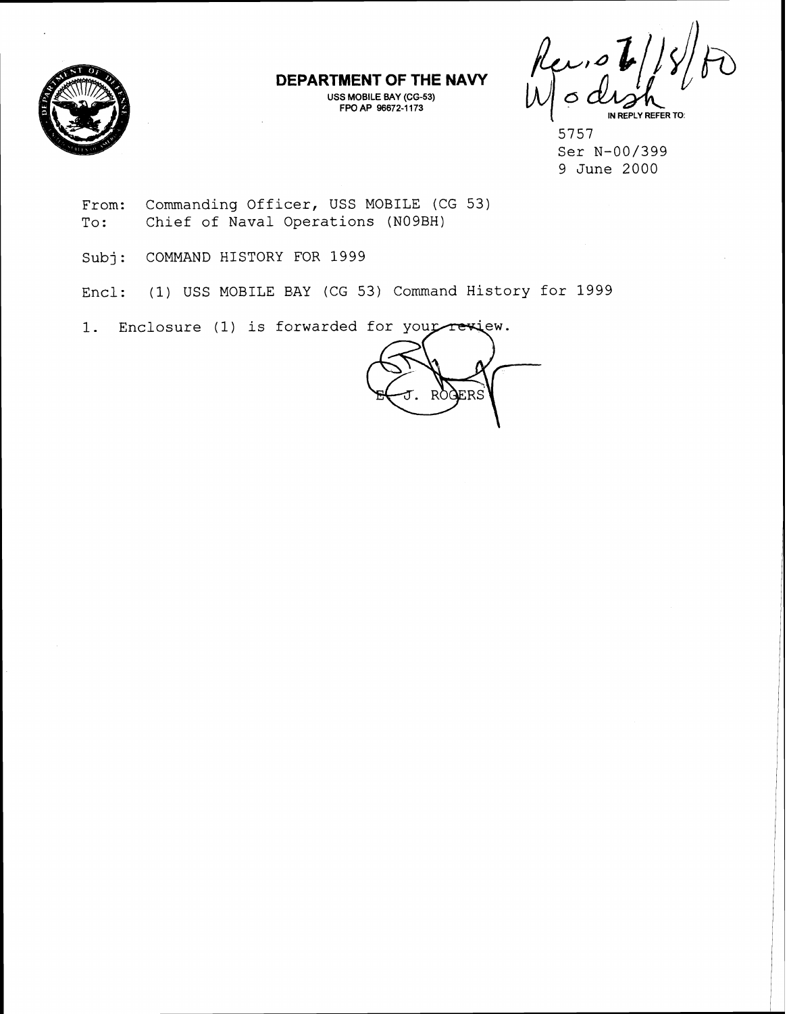

**DEPARTMENT OF THE NAVY** 

**USS MOBILE BAY (CG-53) FPO AP 96672-1 173** 

Reviot **IN REPLY REFER TO:** 

5757 Ser N-00/399 9 June 2000

- From: Commanding Officer, USS MOBILE (CG 53) To: Chief of Naval Operations (N09BH)
- Subj: COMMAND HISTORY FOR 1999
- Encl: (1) USS MOBILE RAY (CG 53) Command History for 1999

1. Enclosure (1) is forwarded for your rewiew.

FRS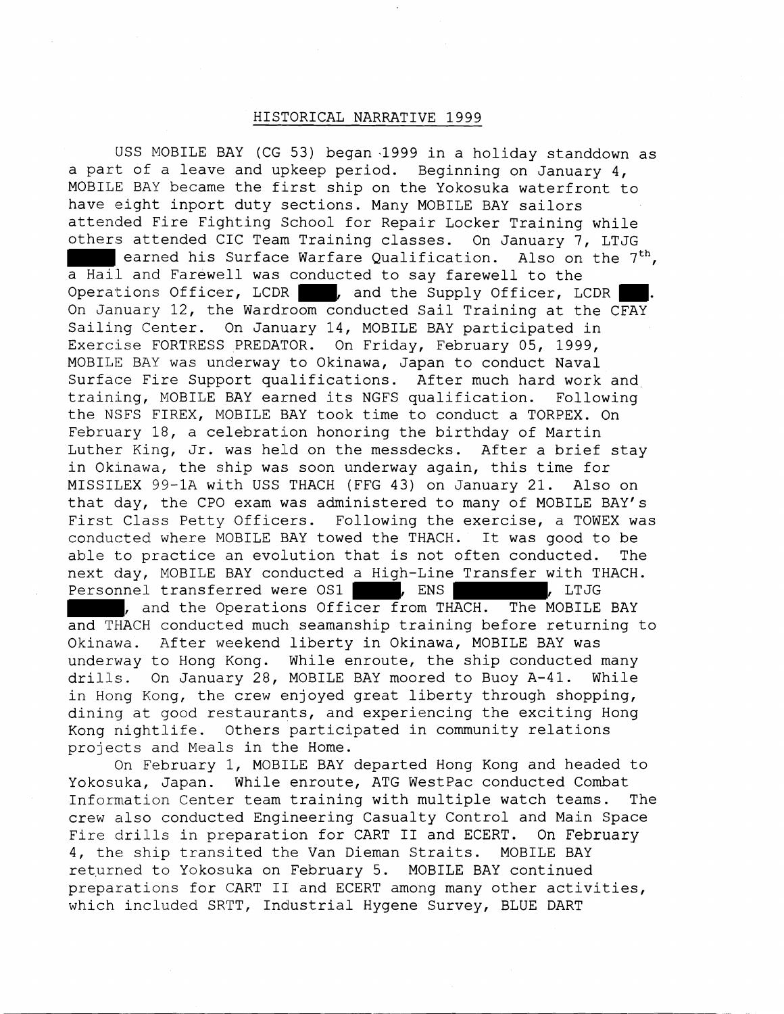## HISITORICAL NARRATIVE 1999

USS MOBILE BAY (CG 53) began.1999 in a holiday standdown as a part of a leave and upkeep period. Beginning on January 4, MOBILE BAY became the first ship on the Yokosuka waterfront to have eight inport duty sections. Many MOBILE BAY sailors attended Fire Fighting School for Repair Locker Training while others attended CIC Team Training classes. On January 7, LTJG earned his Surface Warfare Qualification. Also on the  $7<sup>th</sup>$ , a Hail and Farewell was conducted to say farewell to the Operations Officer, LCDR , and the Supply Officer, LCDR On January 12, the Wardroom conducted Sail Training at the CFAY Sailing Center. On January 14, MOBILE BAY participated in Exercise FORTRESS PREDATOR. On Friday, February 05, 1999, MOBILE BAY was underway to Okinawa, Japan to conduct Naval Surface Fire Support qualifications. After much hard work and training, MOBILE BAY earned its NGFS qualification. Following the NSFS FIREX, MOBILE BAY took time to conduct a TORPEX. On February 18, a celebration honoring the birthday of Martin Luther King, Jr. was held on the messdecks. After a brief stay in Okinawa, the ship was soon underway again, this time for MISSILEX 99-1A with USS THACH (FFG 43) on January 21. Also on that day, the CPO exam was administered to many of MOBILE BAY'S First Class Petty Officers. Following the exercise, a TOWEX was conducted where MOBILE BAY towed the THACH. It was good to be able to practice an evolution that is not often conducted. The next day, MOBILE BAY conducted a High-Line Transfer with THACH. Personnel transferred were OS1 | , ENS | , LTJG , and the Operations Officer from THACH. The MOBILE BAY and THACH conducted much seamanship training before returning to

Okinawa. After weekend liberty in Okinawa, MOBILE BAY was underway to Hong Kong. While enroute, the ship conducted many drills. On January 28, MOBILE BAY moored to Buoy A-41. While in Hong Kong, the crew enjoyed great liberty through shopping, dining at good restaurants, and experiencing the exciting Hong Kong nightlife. Others participated in community relations projects and Meals in the Home.

On February 1, MOBILE BAY departed Hong Kong and headed to Yokosuka, Japan. While enroute, ATG WestPac conducted Combat Information Center team training with multiple watch teams. The crew also conducted Engineering Casualty Control and Main Space Fire drills in preparation for CART I1 and ECERT. On February 4, the ship transited the Van Dieman Straits. MOBILE BAY returned to Yokosuka on February 5. MOBILE BAY continued preparations for CART I1 and ECERT among many other activities, which included SRTT, Industrial Hygene Survey, BLUE DART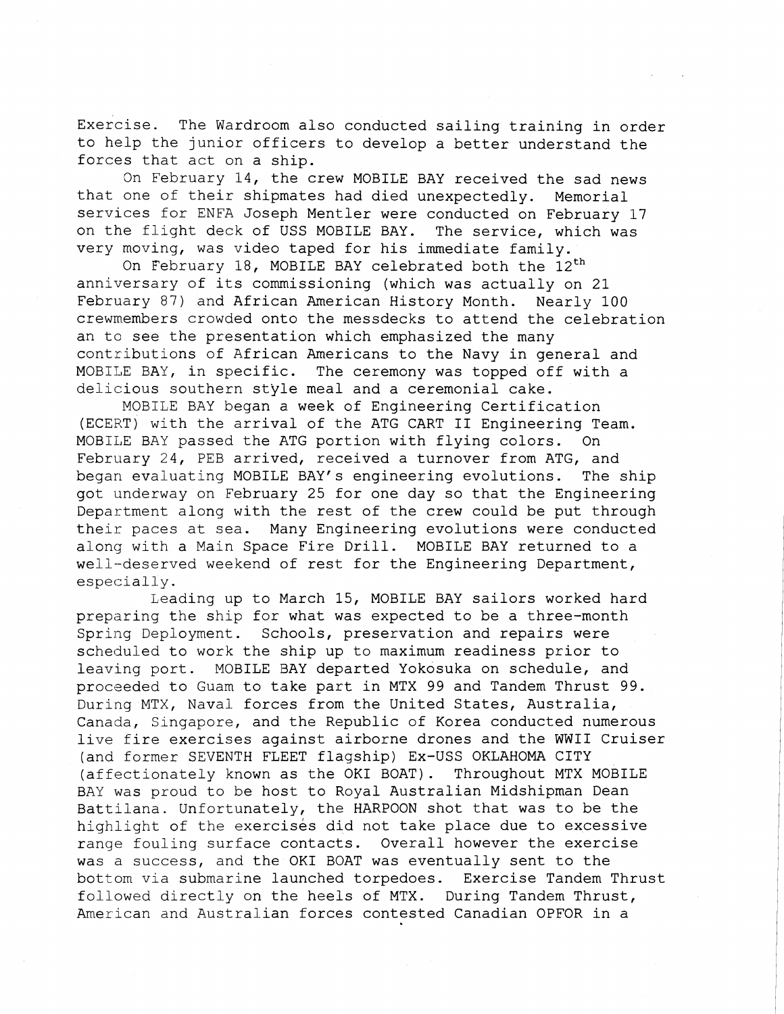Exercise. The Wardroom also conducted sailing training in order to help the junior officers to develop a better understand the forces that act on a ship.

On February 14, the crew MOBILE BAY received the sad news that one of their shipmates had died unexpectedly. Memorial services for ENFA Joseph Mentler were conducted on February 17 on the flight deck of USS MOBILE BAY. The service, which was very moving, was video taped for his immediate family.

On February 18, MOBILE BAY celebrated both the  $12<sup>th</sup>$ anniversary of its commissioning (which was actually on 21 February 87) and African American History Month. Nearly 100 crewmembers crowded onto the messdecks to attend the celebration an to see the presentation which emphasized the many contributions of African Americans to the Navy in general and MOBILE BAY, in specific. The ceremony was topped off with a delicious southern style meal and a ceremonial cake.

MOBILE BAY began a week of Engineering Certification (ECERT) with the arrival of the ATG CART II Engineering Team. MOBILE BAY passed the ATG portion with flying colors. On February 24, PEB arrived, received a turnover from ATG, and began evaluating MOBILE BAY'S engineering evolutions. The ship got underway on February 25 for one day so that the Engineering Department along with the rest of the crew could be put through their paces at sea. Many Engineering evolutions were conducted alonq with a Main Space Fire Drill. MOBILE BAY returned to a well-deserved weekend of rest for the Engineering Department, especially.

Leading up to March 15, MOBILE BAY sailors worked hard preparing the ship for what was expected to be a three-month Spring Deployment. Schools, preservation and repairs were scheduled to work the ship up to maximum readiness prior to leaving port. MOBILE BAY departed Yokosuka on schedule, and procseded to Guam to take part in MTX 99 and Tandem Thrust 99. During MTX, Naval forces from the United States, Australia, Canada, Singapore, and the Republic of Korea conducted numerous live fire exercises against airborne drones and the WWII Cruiser (and former SEVENTH FLEET flagship) Ex-USS OKLAHOMA CITY (affectionately known as the OK1 BOAT). Throughout MTX MOBILE BAY was proud to be host to Royal Australian Midshipman Dean Battilana. Unfortunately, the HARPOON shot that was to be the highlight of the exercises did not take place due to excessive range fouling surface contacts. Overall however the exercise was a success, and the OK1 BOAT was eventually sent to the bottom via submarine launched torpedoes. Exercise Tandem Thrust followed directly on the heels of MTX. During Tandem Thrust, American and Australian forces contested Canadian OPFOR in a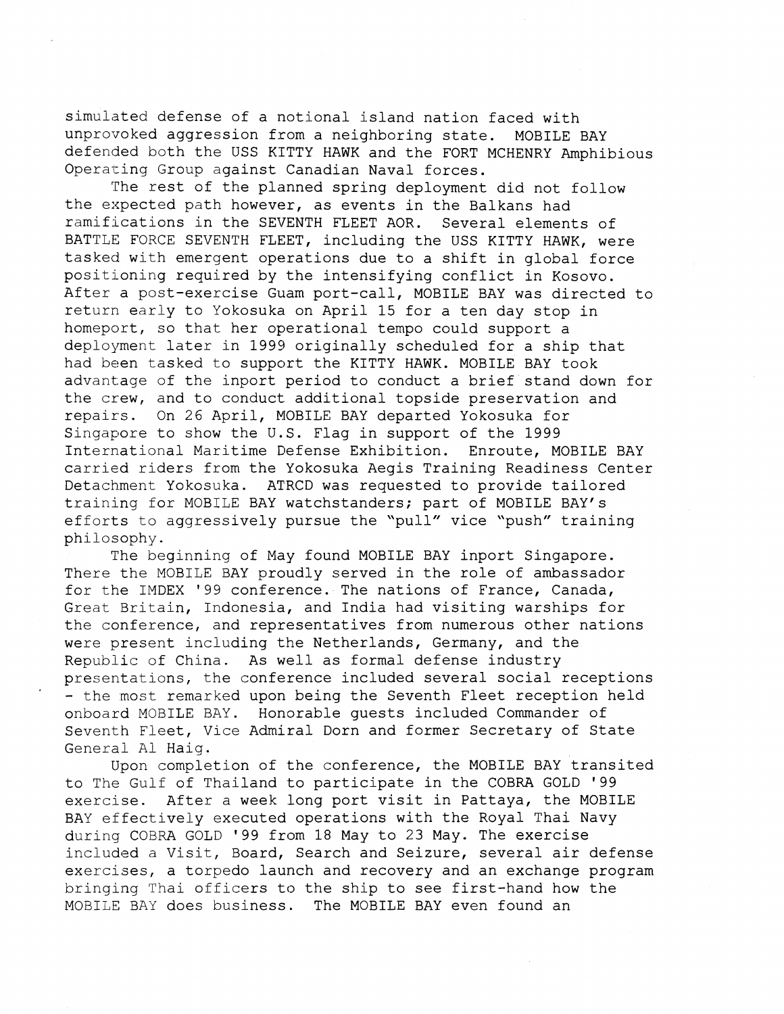simulated defense of a notional island nation faced with unprovoked aggression from a neighboring state. MOBILE BAY defended both the USS KITTY HAWK and the FORT MCHENRY Amphibious Operating Group against Canadian Naval forces.

The rest of the planned spring deployment did not follow the expected path however, as events in the Balkans had ramifications in the SEVENTH FLEET AOR. Several elements of BATTLE FORCE SEVENTH FLEET, including the USS KITTY HAWK, were tasked with emergent operations due to a shift in global force positioning required by the intensifying conflict in Kosovo. After a post-exercise Guam port-call, MOBILE BAY was directed to return early to Yokosuka on April 15 for a ten day stop in homeport, so that her operational tempo could support a deployment later in 1999 originally scheduled for a ship that had been tasked to support the KITTY HAWK. MOBILE BAY took advantage of the inport period to conduct a brief stand down for the crew, and to conduct additional topside preservation and repairs. On 26 April, MOBILE BAY departed Yokosuka for Singapore to show the U.S. Flag in support of the 1999 International Maritime Defense Exhibition. Enroute, MOBILE BAY carried riders from the Yokosuka Aegis Training Readiness Center Detachment Yokosuka. ATRCD was requested to provide tailored training for MOBILE BAY watchstanders; part of MOBILE BAY'S efforts to aggressively pursue the 'pull" vice "push" training philosophy.

The beginning of May found MOBILE BAY inport Singapore. There the MOBILE BAY proudly served in the role of ambassador for the IMDEX '99 conference. The nations of France, Canada, Great Britain, Indonesia, and India had visiting warships for the conference, and representatives from numerous other nations were present including the Netherlands, Germany, and the Republic of China. As well as formal defense industry presentations, the conference included several social receptions - the most remarked upon being the Seventh Fleet reception held onboard MOBILE BAY. Honorable guests included Commander of Seventh Fleet, Vice Admiral Dorn and former Secretary of State General A1 Haig.

Upon completion of the conference, the MOBILE BAY transited to The Gulf of Thailand to participate in the COBRA GOLD '99 exercise. After a week long port visit in Pattaya, the MOBILE BAY effectively executed operations with the Royal Thai Navy during COBRA GOLD '99 from 18 May to 23 May. The exercise included a Visit, Board, Search and Seizure, several air defense exercises, a torpedo launch and recovery and an exchange program bringing Thai officers to the ship to see first-hand how the MOBILE BAY does business. The MOBILE BAY even found an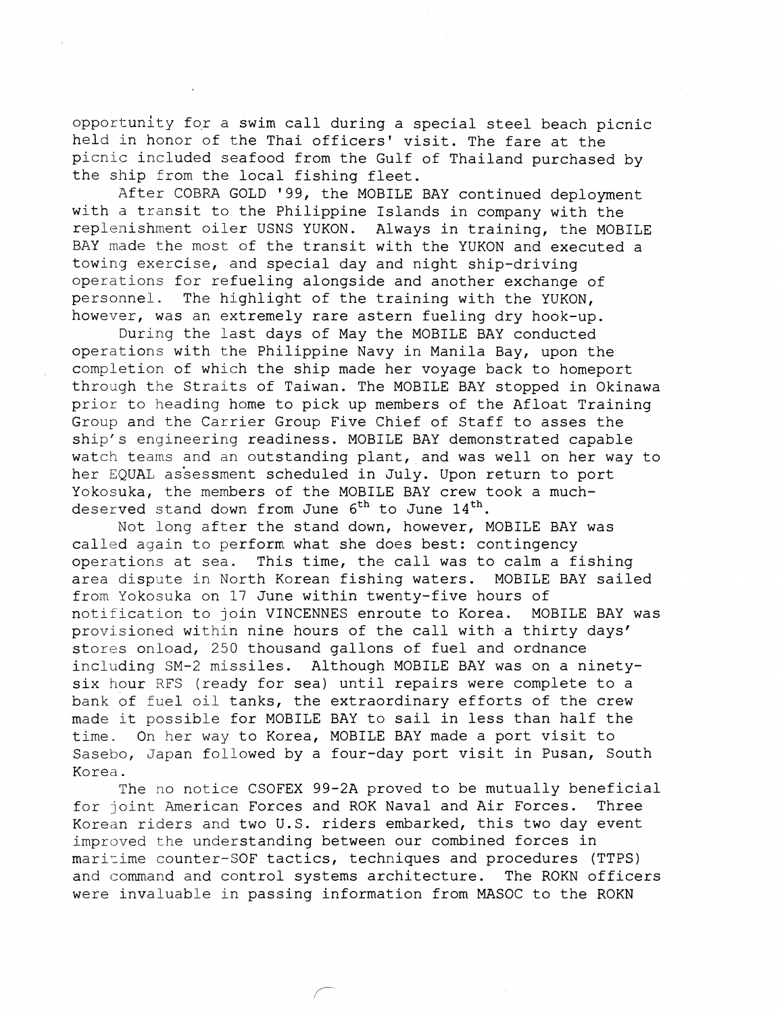opportunity for a swim call during a special steel beach picnic held in honor of the Thai officers' visit. The fare at the picnic included seafood from the Gulf of Thailand purchased by the ship from the local fishing fleet.

After COBRA GOLD '99, the MOBILE BAY continued deployment with a transit to the Philippine Islands in company with the replenishment oiler USNS YUKON. Always in training, the MOBILE BAY made the most of the transit with the YUKON and executed a towing exercise, and special day and night ship-driving operations for refueling alongside and another exchange of personnel. The highlight of the training with the YUKON, however, was an extremely rare astern fueling dry hook-up.

During the last days of May the MOBILE BAY conducted operations with the Philippine Navy in Manila Bay, upon the completion of which the ship made her voyage back to homeport through the Straits of Taiwan. The MOBILE BAY stopped in Okinawa prior to heading home to pick up members of the Afloat Training Group and the Carrier Group Five Chief of Staff to asses the ship's engineering readiness. MOBILE BAY demonstrated capable watch teams and an outstanding plant, and was well on her way to her EQUAL assessment scheduled in July. Upon return to port Yokosuka, the members of the MOBILE BAY crew took a muchdeserved stand down from June  $6^{th}$  to June  $14^{th}$ .

Not long after the stand down, however, MOBILE BAY was called again to perform what she does best: contingency operations at sea. This time, the call was to calm a fishing area dispute in North Korean fishing waters. MOBILE BAY sailed from Yokosuka on 17 June within twenty-five hours of notification to join VINCENNES enroute to Korea. MOBILE BAY was provisioned within nine hours of the call with a thirty days' stores onload, 250 thousand gallons of fuel and ordnance including SM-2 missiles. Although MOBILE BAY was on a ninetysix hour RFS (ready for sea) until repairs were complete to a bank of fuel oil tanks, the extraordinary efforts of the crew made it possible for MOBILE BAY to sail in less than half the time. On her way to Korea, MOBILE BAY made a port visit to Sasebo, Japan followed by a four-day port visit in Pusan, South Korea.

The no notice CSOFEX 99-2A proved to be mutually beneficial for joint American Forces and ROK Naval and Air Forces. Three Korean riders and two U.S. riders embarked, this two day event improved the understanding between our combined forces in maritime counter-SOF tactics, techniques and procedures (TTPS) and command and control systems architecture. The ROKN officers were invaluable in passing information from MASOC to the ROKN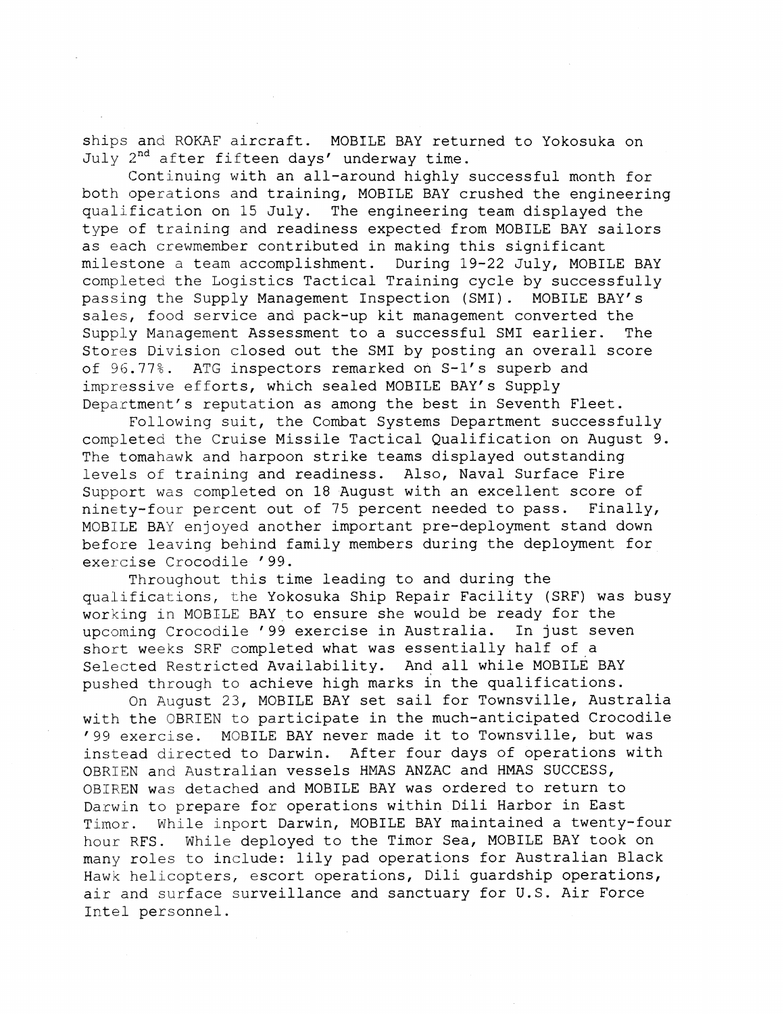ships and ROKAF aircraft. MOBILE BAY returned to Yokosuka on July 2<sup>nd</sup> after fifteen days' underway time.

Continuing with an all-around highly successful month for both operations and training, MOBILE BAY crushed the engineering qualification on 15 July. The engineering team displayed the type of training and readiness expected from MOBILE BAY sailors as each crewmember contributed in making this significant milestone a team accomplishment. During 19-22 July, MOBILE BAY completed the Logistics Tactical Training cycle by successfully passing the Supply Management Inspection (SMI). MOBILE BAY's sales, food service and pack-up kit management converted the Supply Management Assessment to a successful SMI earlier. The Stores Division closed out the SMI by posting an overall score of 96.77%. ATG inspectors remarked on S-1's superb and impressive efforts, whlch sealed MOBILE BAY's Supply Department's reputation as among the best in Seventh Fleet.

Following suit, the Combat Systems Department successfully completed the Cruise Missile Tactical Qualification on August 9. The tomahawk and harpoon strike teams displayed outstanding levels of training and readiness. Also, Naval Surface Fire Support was completed on 18 August with an excellent score of ninety-four percent out of 75 percent needed to pass. Finally, MOBILE BAY enjoyed another important pre-deployment stand down before leaving behind family members during the deployment for exercise Crocodile ' 99.

Throughout this time leading to and during the qualifications, the Yokosuka Ship Repair Facility (SRF) was busy working in MOBILE BAY to ensure she would be ready for the upcoming Crocodile '99 exercise in Australia. In just seven short weeks SRF completed what was essentially half of a Selected Restricted Availability. And all while MOBILE BAY pushed through to achieve high marks in the qualifications.

On August 23, MOBILE BAY set sail for Townsville, Australia with the OBRIEN to participate in the much-anticipated Crocodile '99 exercise. MOBILE BAY never made it to Townsville, but was instead directed to Darwin. After four days of operations with OBRIEN and Australian vessels HMAS ANZAC and HMAS SUCCESS, OBIREN was detached and MOBILE BAY was ordered to return to Darwin to prepare for operations within Dili Harbor in East Timor. While inport Darwin, MOBILE BAY maintained a twenty-four hour RFS. While deployed to the Timor Sea, MOBILE BAY took on many roles to include: lily pad operations for Australian Black Hawk helicopters, escort operations, Dili guardship operations, air and surface surveillance and sanctuary for U.S. Air Force Intel personnel.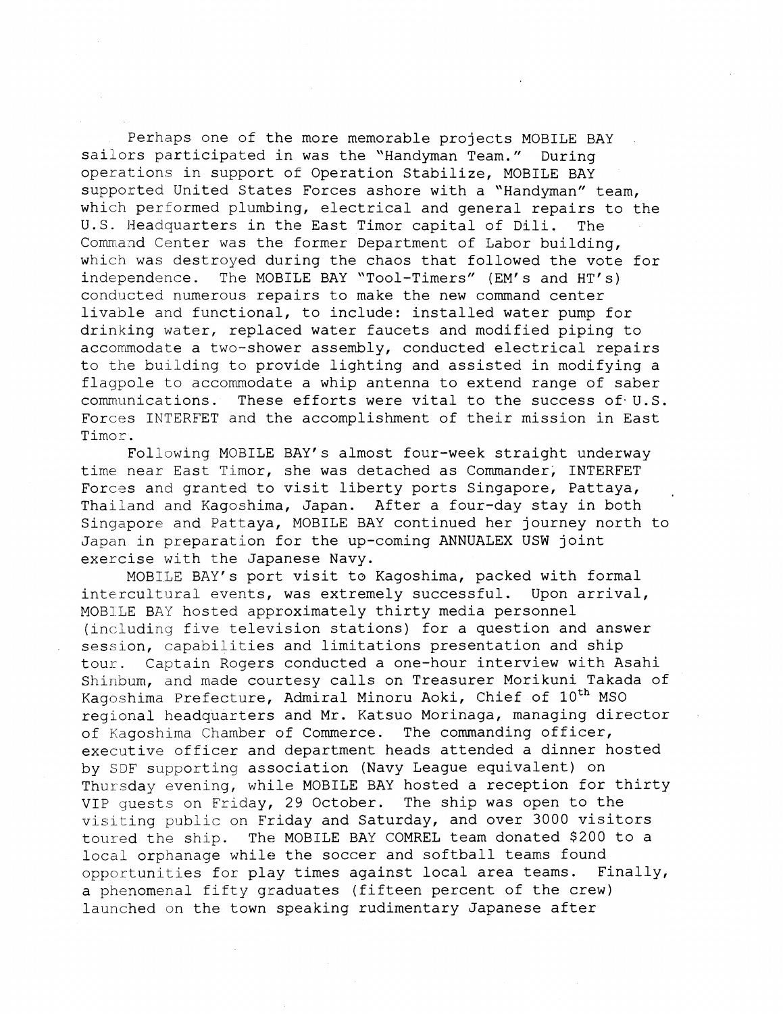Perhaps one of the more memorable projects MOBILE BAY sailors participated in was the "Handyman Team." During operatlions in support of Operation Stabilize, MOBILE BAY supported United States Forces ashore with a "Handyman" team, which performed plumbing, electrical and general repairs to the U.S. Headquarters in the East Timor capital of Dili. The Command Center was the former Department of Labor building, which was destroyed during the chaos that followed the vote for independence. The MOBILE BAY "Tool-Timers" (EM's and HT's) conducted numerous repairs to make the new command center livable and functional, to include: installed water pump for drinking water, replaced water faucets and modified piping to accommodate a two-shower assembly, conducted electrical repairs to the building to provide lighting and assisted in modifying a flagpole to accommodate a whip antenna to extend range of saber communications. These efforts were vital to the success of. U.S. Forces INTERFET and the accomplishment of their mission in East Timor.

Following MOBILE RAY'S almost four-week straight underway time near East Timor, she was detached as Commander, INTERFET Forces and granted to visit liberty ports Singapore, Pattaya, Thailand and Kagoshima, Japan. After a four-day stay in both Singapore and Pattaya, MOBILE BAY continued her journey north to Japan in preparation for the up-coming ANNUALEX USW joint exercise with the Japanese Navy.

MOBILE BAY'S port visit to Kagoshima, packed with formal intercultural events, was extremely successful. Upon arrival, MOBILE BAY hosted approximately thirty media personnel (including five television stations) for a question and answer session, capabilities and limitations presentation and ship tour. Captain Rogers conducted a one-hour interview with Asahi Shinbum, and made courtesy calls on Treasurer Morikuni Takada of Kagoshima Prefecture, Admiral Minoru Aoki, Chief of 10<sup>th</sup> MSO regional headquarters and Mr. Katsuo Morinaga, managing director of Kagoshlma Chamber of Commerce. The commanding officer, executive officer and department heads attended a dinner hosted by SDF supporting association (Navy League equivalent) on Thursday evening, while MOBILE BAY hosted a reception for thirty VIP quests on Friday, 29 October. The ship was open to the visiting public on Friday and Saturday, and over 3000 visitors toured the ship. The MOBILE BAY COMREL team donated \$200 to a local orphanage while the soccer and softball teams found opportunities for play times against local area teams. Finally, a phenomenal fifty graduates (fifteen percent of the crew) launched on the town speaking rudimentary Japanese after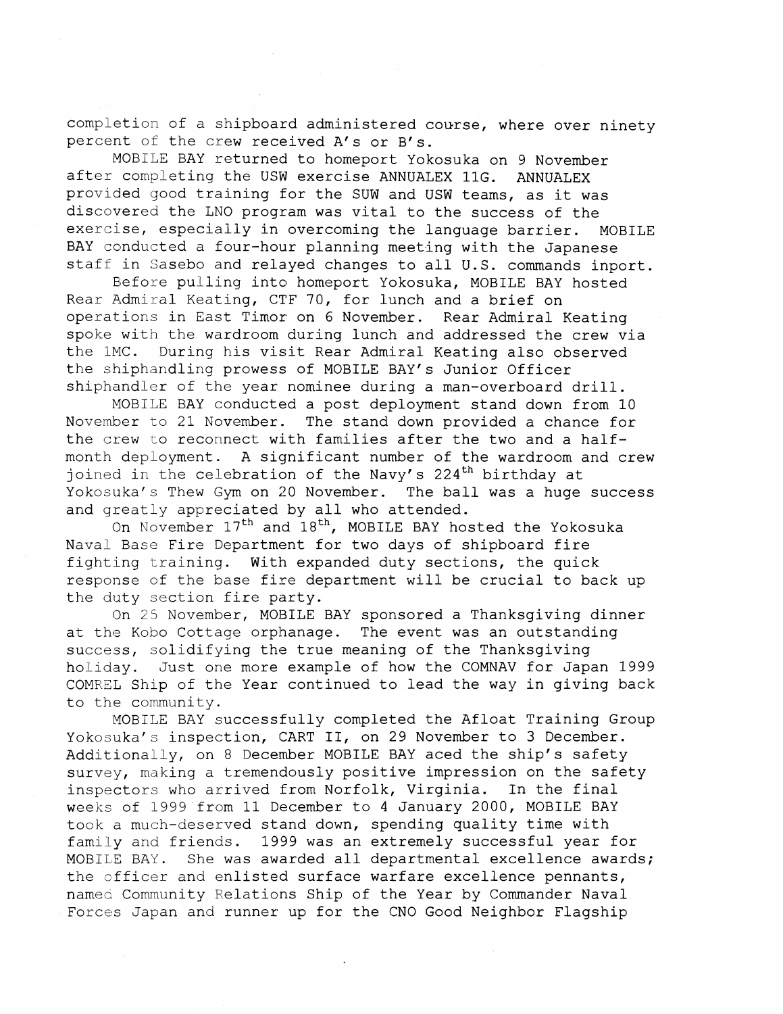completion of a shipboard administered course, where over ninety percent of the crew received A's or B's.

MOBILE BAY returned to homeport Yokosuka on 9 November after completing the USW exercise ANNUALEX 11G. ANNUALEX provided good training for the SUW and USW teams, as it was discovered the LNO program was vital to the success of the exercise, especially in overcoming the language barrier. MOBILE BAY conducted a four-hour planning meeting with the Japanese staff in Sasebo and relayed changes to all U.S. commands inport.

Before pulling into homeport Yokosuka, MOBILE BAY hosted Rear Admiral Keating, CTF 70, for lunch and a brief on operations in East Timor on 6 November. Rear Admiral Keating spoke with the wardroom during lunch and addressed the crew via the 1MC. During his visit Rear Admiral Keating also observed the shiphandling prowess of MOBILE BAY'S Junior Officer shiphandler of the year nominee during a man-overboard drill.

MOBILE BAY conducted a post deployment stand down from 10 November to 21 November. The stand down provided a chance for the crew to reconnect with families after the two and a halfmonth deployment. A significant number of the wardroom and crew joined in the celebration of the Navy's  $224$ <sup>th</sup> birthday at Yokosuka's Thew Gym on 20 November. The ball was a huge success and greatly appreciated by all who attended.

On November 17<sup>th</sup> and 18<sup>th</sup>, MOBILE BAY hosted the Yokosuka Naval Base Fire Department for two days of shipboard fire fighting training. With expanded duty sections, the quick response of the base fire department will be crucial to back up the duty section fire party.

On 25 November, MOBILE BAY sponsored a Thanksgiving dinner at the Kobo Cottage orphanage. The event was an outstanding success, solidifying the true meaning of the Thanksgiving holiday. Just one more example of how the COMNAV for Japan 1999 COMREL Ship of the Year continued to lead the way in giving back to the community.

MOBILE BAY successfully completed the Afloat Training Group Yokosuka's inspection, CART 11, on 29 November to 3 December. Additionally, on 8 December MOBILE BAY aced the ship's safety survey, making a tremendously positive impression on the safety<br>inspectors who arrived from Norfolk, Virginia. In the final inspectors who arrived from Norfolk, Virginia. weeks of 1999 from 11 December to 4 January 2000, MOBILE BAY took a much-deserved stand down, spending quality time with family and friends. 1999 was an extremely successful year for MOBILE BAY. She was awarded all departmental excellence awards; the officer and enlisted surface warfare excellence pennants, named Community Relations Ship of the Year by Commander Naval Forces Japan and runner up for the CNO Good Neighbor Flagship